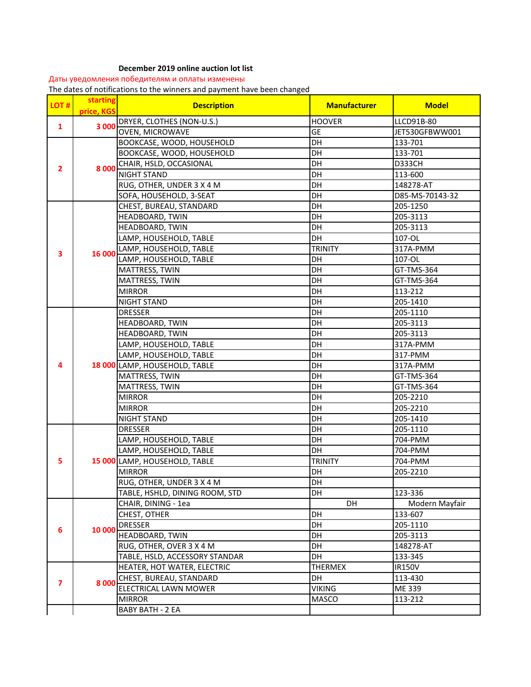## **December 2019 online auction lot list**

Даты уведомления победителям и оплаты изменены

The dates of notifications to the winners and payment have been changed

| LOT#                    | starting<br>price, KGS | <b>Description</b>             | <b>Manufacturer</b> | <b>Model</b>    |
|-------------------------|------------------------|--------------------------------|---------------------|-----------------|
| $\mathbf{1}$            | 3 000                  | DRYER, CLOTHES (NON-U.S.)      | <b>HOOVER</b>       | LLCD91B-80      |
|                         |                        | <b>OVEN, MICROWAVE</b>         | <b>GE</b>           | JET530GFBWW001  |
|                         |                        | BOOKCASE, WOOD, HOUSEHOLD      | DH                  | 133-701         |
|                         |                        | BOOKCASE, WOOD, HOUSEHOLD      | DH                  | 133-701         |
| 2                       | 8 0 0 0                | CHAIR, HSLD, OCCASIONAL        | DH                  | D333CH          |
|                         |                        | <b>NIGHT STAND</b>             | DH                  | 113-600         |
|                         |                        | RUG, OTHER, UNDER 3 X 4 M      | DH                  | 148278-AT       |
|                         |                        | SOFA, HOUSEHOLD, 3-SEAT        | DH                  | D85-MS-70143-32 |
|                         |                        | CHEST, BUREAU, STANDARD        | DH                  | 205-1250        |
|                         |                        | <b>HEADBOARD, TWIN</b>         | DH                  | 205-3113        |
|                         |                        | HEADBOARD, TWIN                | DH                  | 205-3113        |
|                         |                        | LAMP, HOUSEHOLD, TABLE         | DH                  | 107-OL          |
| 3                       | 16 000                 | LAMP, HOUSEHOLD, TABLE         | <b>TRINITY</b>      | 317A-PMM        |
|                         |                        | LAMP, HOUSEHOLD, TABLE         | DH                  | 107-OL          |
|                         |                        | MATTRESS, TWIN                 | DH                  | GT-TMS-364      |
|                         |                        | MATTRESS, TWIN                 | DH                  | GT-TMS-364      |
|                         |                        | <b>MIRROR</b>                  | DH                  | 113-212         |
|                         |                        | <b>NIGHT STAND</b>             | DH                  | 205-1410        |
|                         |                        | <b>DRESSER</b>                 | <b>DH</b>           | 205-1110        |
|                         |                        | HEADBOARD, TWIN                | DH                  | 205-3113        |
|                         |                        | HEADBOARD, TWIN                | DH                  | 205-3113        |
|                         |                        | LAMP, HOUSEHOLD, TABLE         | DH                  | 317A-PMM        |
|                         |                        | LAMP, HOUSEHOLD, TABLE         | DH                  | 317-PMM         |
| 4                       |                        | 18 000 LAMP, HOUSEHOLD, TABLE  | DH                  | 317A-PMM        |
|                         |                        | MATTRESS, TWIN                 | DH                  | GT-TMS-364      |
|                         |                        | MATTRESS, TWIN                 | DH                  | GT-TMS-364      |
|                         |                        | <b>MIRROR</b>                  | DH                  | 205-2210        |
|                         |                        | <b>MIRROR</b>                  | DH                  | 205-2210        |
|                         |                        | <b>NIGHT STAND</b>             | DH                  | 205-1410        |
|                         |                        | <b>DRESSER</b>                 | DH                  | 205-1110        |
| 5                       |                        | LAMP, HOUSEHOLD, TABLE         | <b>DH</b>           | 704-PMM         |
|                         |                        | LAMP, HOUSEHOLD, TABLE         | DH                  | 704-PMM         |
|                         |                        | 15 000 LAMP, HOUSEHOLD, TABLE  | <b>TRINITY</b>      | 704-PMM         |
|                         |                        | <b>MIRROR</b>                  | DH                  | 205-2210        |
|                         |                        | RUG, OTHER, UNDER 3 X 4 M      | <b>DH</b>           |                 |
|                         |                        | TABLE, HSHLD, DINING ROOM, STD | <b>DH</b>           | 123-336         |
|                         |                        | CHAIR, DINING - 1ea            | DH                  | Modern Mayfair  |
|                         | 10 000                 | CHEST, OTHER                   | DH                  | 133-607         |
| 6                       |                        | <b>DRESSER</b>                 | DH                  | 205-1110        |
|                         |                        | HEADBOARD, TWIN                | DH                  | 205-3113        |
|                         |                        | RUG, OTHER, OVER 3 X 4 M       | DH                  | 148278-AT       |
|                         |                        | TABLE, HSLD, ACCESSORY STANDAR | DH                  | 133-345         |
|                         | 8 0 0 0                | HEATER, HOT WATER, ELECTRIC    | <b>THERMEX</b>      | IR150V          |
| $\overline{\mathbf{z}}$ |                        | CHEST, BUREAU, STANDARD        | DH                  | 113-430         |
|                         |                        | ELECTRICAL LAWN MOWER          | <b>VIKING</b>       | ME 339          |
|                         |                        | <b>MIRROR</b>                  | MASCO               | 113-212         |
|                         |                        | <b>BABY BATH - 2 EA</b>        |                     |                 |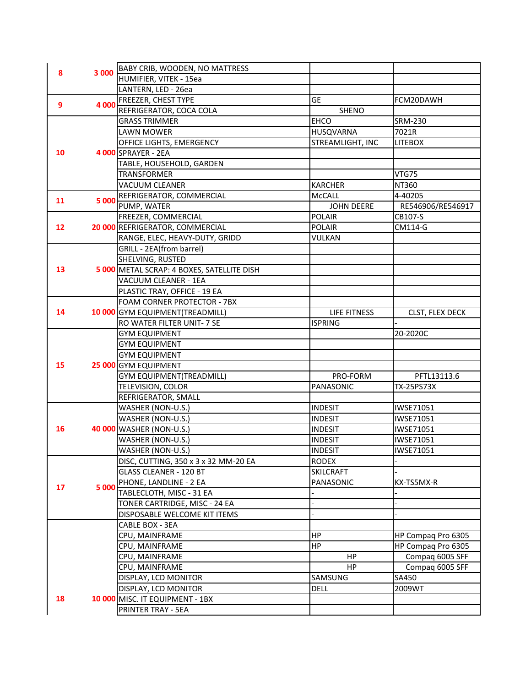|                 |       | BABY CRIB, WOODEN, NO MATTRESS             |                   |                    |
|-----------------|-------|--------------------------------------------|-------------------|--------------------|
| 8               | 3 000 | HUMIFIER, VITEK - 15ea                     |                   |                    |
|                 |       | LANTERN, LED - 26ea                        |                   |                    |
|                 |       | FREEZER, CHEST TYPE                        | GE                | FCM20DAWH          |
| 9               | 4 000 | REFRIGERATOR, COCA COLA                    | <b>SHENO</b>      |                    |
|                 |       | <b>GRASS TRIMMER</b>                       | <b>EHCO</b>       | SRM-230            |
|                 |       | <b>LAWN MOWER</b>                          | HUSQVARNA         | 7021R              |
|                 |       | OFFICE LIGHTS, EMERGENCY                   | STREAMLIGHT, INC  | <b>LITEBOX</b>     |
| 10              |       | 4 000 SPRAYER - 2EA                        |                   |                    |
|                 |       | TABLE, HOUSEHOLD, GARDEN                   |                   |                    |
|                 |       | <b>TRANSFORMER</b>                         |                   | VTG75              |
|                 |       | VACUUM CLEANER                             | <b>KARCHER</b>    | NT360              |
|                 |       | REFRIGERATOR, COMMERCIAL                   | <b>McCALL</b>     | 4-40205            |
| 11              | 5 000 | PUMP, WATER                                | <b>JOHN DEERE</b> | RE546906/RE546917  |
|                 |       | FREEZER, COMMERCIAL                        | <b>POLAIR</b>     | CB107-S            |
| 12 <sup>2</sup> |       | 20 000 REFRIGERATOR, COMMERCIAL            | <b>POLAIR</b>     | CM114-G            |
|                 |       | RANGE, ELEC, HEAVY-DUTY, GRIDD             | VULKAN            |                    |
|                 |       | GRILL - 2EA(from barrel)                   |                   |                    |
|                 |       | SHELVING, RUSTED                           |                   |                    |
| 13              |       | 5 000 METAL SCRAP: 4 BOXES, SATELLITE DISH |                   |                    |
|                 |       | VACUUM CLEANER - 1EA                       |                   |                    |
|                 |       | PLASTIC TRAY, OFFICE - 19 EA               |                   |                    |
|                 |       | FOAM CORNER PROTECTOR - 7BX                |                   |                    |
| 14              |       | 10 000 GYM EQUIPMENT (TREADMILL)           | LIFE FITNESS      | CLST, FLEX DECK    |
|                 |       | RO WATER FILTER UNIT- 7 SE                 | <b>ISPRING</b>    |                    |
|                 |       | <b>GYM EQUIPMENT</b>                       |                   | 20-2020C           |
|                 |       | <b>GYM EQUIPMENT</b>                       |                   |                    |
|                 |       | <b>GYM EQUIPMENT</b>                       |                   |                    |
| 15              |       | 25 000 GYM EQUIPMENT                       |                   |                    |
|                 |       | <b>GYM EQUIPMENT(TREADMILL)</b>            | PRO-FORM          | PFTL13113.6        |
|                 |       | TELEVISION, COLOR                          | PANASONIC         | <b>TX-25PS73X</b>  |
|                 |       | REFRIGERATOR, SMALL                        |                   |                    |
|                 |       | WASHER (NON-U.S.)                          | <b>INDESIT</b>    | IWSE71051          |
|                 |       | WASHER (NON-U.S.)                          | <b>INDESIT</b>    | IWSE71051          |
| 16              |       | 40 000 WASHER (NON-U.S.)                   | <b>INDESIT</b>    | IWSE71051          |
|                 |       | WASHER (NON-U.S.)                          | <b>INDESIT</b>    | IWSE71051          |
|                 |       | WASHER (NON-U.S.)                          | <b>INDESIT</b>    | IWSE71051          |
|                 |       | DISC, CUTTING, 350 x 3 x 32 MM-20 EA       | RODEX             |                    |
|                 |       | <b>GLASS CLEANER - 120 BT</b>              | <b>SKILCRAFT</b>  |                    |
| 17              | 5 000 | PHONE, LANDLINE - 2 EA                     | PANASONIC         | KX-TS5MX-R         |
|                 |       | TABLECLOTH, MISC - 31 EA                   |                   |                    |
|                 |       | TONER CARTRIDGE, MISC - 24 EA              |                   |                    |
|                 |       | DISPOSABLE WELCOME KIT ITEMS               |                   |                    |
|                 |       | CABLE BOX - 3EA                            |                   |                    |
|                 |       | CPU, MAINFRAME                             | <b>HP</b>         | HP Compaq Pro 6305 |
|                 |       | CPU, MAINFRAME                             | HP                | HP Compaq Pro 6305 |
|                 |       | CPU, MAINFRAME                             | HP                | Compaq 6005 SFF    |
|                 |       | CPU, MAINFRAME                             | HP                | Compaq 6005 SFF    |
|                 |       | DISPLAY, LCD MONITOR                       | SAMSUNG           | SA450              |
|                 |       | DISPLAY, LCD MONITOR                       | DELL              | 2009WT             |
| 18              |       | 10 000 MISC. IT EQUIPMENT - 1BX            |                   |                    |
|                 |       | PRINTER TRAY - 5EA                         |                   |                    |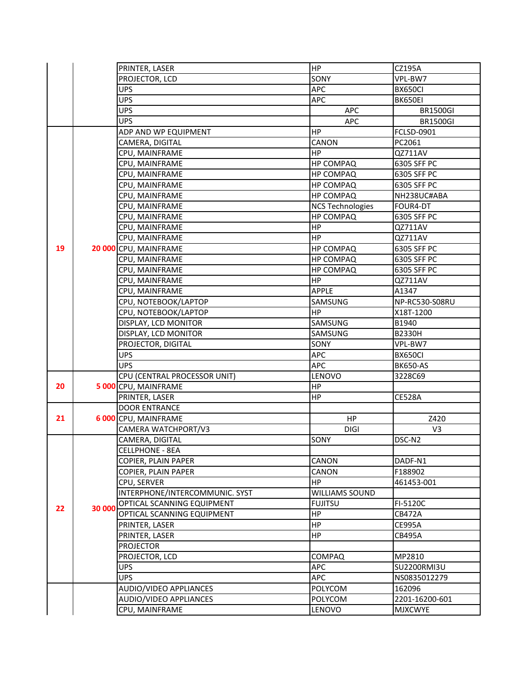|    |        | PRINTER, LASER                 | <b>HP</b>               | CZ195A          |
|----|--------|--------------------------------|-------------------------|-----------------|
|    |        | PROJECTOR, LCD                 | SONY                    | VPL-BW7         |
|    |        | <b>UPS</b>                     | APC                     | BX650CI         |
|    |        | <b>UPS</b>                     | APC                     | BK650EI         |
|    |        | <b>UPS</b>                     | <b>APC</b>              | <b>BR1500GI</b> |
|    |        | <b>UPS</b>                     | <b>APC</b>              | <b>BR1500GI</b> |
|    |        | ADP AND WP EQUIPMENT           | HP                      | FCLSD-0901      |
|    |        | CAMERA, DIGITAL                | CANON                   | PC2061          |
|    |        | CPU, MAINFRAME                 | HP.                     | QZ711AV         |
|    |        | CPU, MAINFRAME                 | <b>HP COMPAQ</b>        | 6305 SFF PC     |
|    |        | CPU, MAINFRAME                 | <b>HP COMPAQ</b>        | 6305 SFF PC     |
|    |        | CPU, MAINFRAME                 | <b>HP COMPAQ</b>        | 6305 SFF PC     |
|    |        | CPU, MAINFRAME                 | <b>HP COMPAQ</b>        | NH238UC#ABA     |
|    |        | CPU, MAINFRAME                 | <b>NCS Technologies</b> | FOUR4-DT        |
|    |        | CPU, MAINFRAME                 | <b>HP COMPAQ</b>        | 6305 SFF PC     |
|    |        | CPU, MAINFRAME                 | <b>HP</b>               | QZ711AV         |
|    |        | CPU, MAINFRAME                 | <b>HP</b>               | QZ711AV         |
| 19 |        | 20 000 CPU, MAINFRAME          | <b>HP COMPAQ</b>        | 6305 SFF PC     |
|    |        | CPU, MAINFRAME                 | <b>HP COMPAQ</b>        | 6305 SFF PC     |
|    |        | CPU, MAINFRAME                 | <b>HP COMPAQ</b>        | 6305 SFF PC     |
|    |        | CPU, MAINFRAME                 | HP                      | QZ711AV         |
|    |        | CPU, MAINFRAME                 | APPLE                   | A1347           |
|    |        | CPU, NOTEBOOK/LAPTOP           | SAMSUNG                 | NP-RC530-S08RU  |
|    |        | CPU, NOTEBOOK/LAPTOP           | <b>HP</b>               | X18T-1200       |
|    |        | DISPLAY, LCD MONITOR           | SAMSUNG                 | B1940           |
|    |        | DISPLAY, LCD MONITOR           | SAMSUNG                 | B2330H          |
|    |        | PROJECTOR, DIGITAL             | SONY                    | VPL-BW7         |
|    |        | <b>UPS</b>                     | APC                     | BX650CI         |
|    |        | <b>UPS</b>                     | APC                     | <b>BK650-AS</b> |
|    |        | CPU (CENTRAL PROCESSOR UNIT)   | LENOVO                  | 3228C69         |
| 20 |        | 5 000 CPU, MAINFRAME           | HP                      |                 |
|    |        | PRINTER, LASER                 | HP                      | <b>CE528A</b>   |
|    |        | <b>DOOR ENTRANCE</b>           |                         |                 |
| 21 |        | 6 000 CPU, MAINFRAME           | HP                      | Z420            |
|    |        | CAMERA WATCHPORT/V3            | <b>DIGI</b>             | V <sub>3</sub>  |
|    | 30 000 | CAMERA, DIGITAL                | SONY                    | DSC-N2          |
|    |        | CELLPHONE - 8EA                |                         |                 |
|    |        | COPIER, PLAIN PAPER            | CANON                   | DADF-N1         |
|    |        | COPIER, PLAIN PAPER            | CANON                   | F188902         |
|    |        | CPU, SERVER                    | HP.                     | 461453-001      |
|    |        | INTERPHONE/INTERCOMMUNIC. SYST | WILLIAMS SOUND          |                 |
| 22 |        | OPTICAL SCANNING EQUIPMENT     | <b>FUJITSU</b>          | FI-5120C        |
|    |        | OPTICAL SCANNING EQUIPMENT     | HP                      | <b>CB472A</b>   |
|    |        | PRINTER, LASER                 | <b>HP</b>               | <b>CE995A</b>   |
|    |        | PRINTER, LASER                 | HP                      | <b>CB495A</b>   |
|    |        | <b>PROJECTOR</b>               |                         |                 |
|    |        | PROJECTOR, LCD                 | COMPAQ                  | MP2810          |
|    |        | <b>UPS</b>                     | APC                     | SU2200RMI3U     |
|    |        | <b>UPS</b>                     | APC                     | NS0835012279    |
|    |        | AUDIO/VIDEO APPLIANCES         | POLYCOM                 | 162096          |
|    |        | AUDIO/VIDEO APPLIANCES         | <b>POLYCOM</b>          | 2201-16200-601  |
|    |        | CPU, MAINFRAME                 | LENOVO                  | <b>MJXCWYE</b>  |